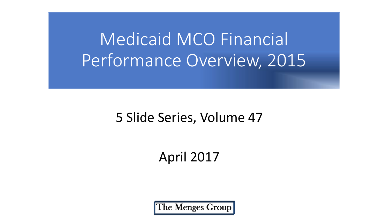Medicaid MCO Financial Performance Overview, 2015

#### 5 Slide Series, Volume 47

#### April 2017

The Menges Group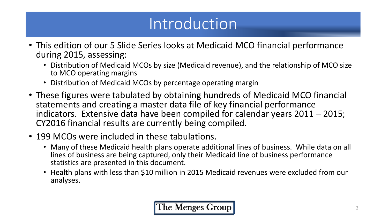### Introduction

- This edition of our 5 Slide Series looks at Medicaid MCO financial performance during 2015, assessing:
	- Distribution of Medicaid MCOs by size (Medicaid revenue), and the relationship of MCO size to MCO operating margins
	- Distribution of Medicaid MCOs by percentage operating margin
- These figures were tabulated by obtaining hundreds of Medicaid MCO financial statements and creating a master data file of key financial performance indicators. Extensive data have been compiled for calendar years 2011 – 2015; CY2016 financial results are currently being compiled.
- 199 MCOs were included in these tabulations.
	- Many of these Medicaid health plans operate additional lines of business. While data on all lines of business are being captured, only their Medicaid line of business performance statistics are presented in this document.
	- Health plans with less than \$10 million in 2015 Medicaid revenues were excluded from our analyses.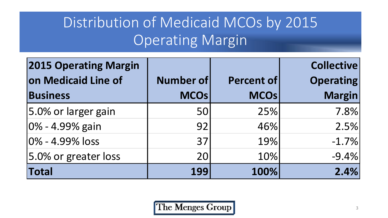#### Distribution of Medicaid MCOs by 2015 Operating Margin

| <b>2015 Operating Margin</b> |                  |                   | <b>Collective</b> |
|------------------------------|------------------|-------------------|-------------------|
| on Medicaid Line of          | <b>Number of</b> | <b>Percent of</b> | <b>Operating</b>  |
| <b>Business</b>              | <b>MCOs</b>      | <b>MCOs</b>       | <b>Margin</b>     |
| 5.0% or larger gain          | 50               | 25%               | 7.8%              |
| $ 0\% - 4.99\%$ gain         | 92               | 46%               | 2.5%              |
| 0% - 4.99% loss              | 37               | 19%               | $-1.7%$           |
| 5.0% or greater loss         | 20               | 10%               | $-9.4\%$          |
| <b>Total</b>                 | 199              | 100%              | 2.4%              |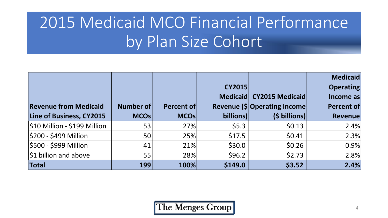# 2015 Medicaid MCO Financial Performance by Plan Size Cohort

|                              |              |              |               |                               | <b>Medicaid</b>  |
|------------------------------|--------------|--------------|---------------|-------------------------------|------------------|
|                              |              |              | <b>CY2015</b> |                               | <b>Operating</b> |
|                              |              |              |               | Medicaid CY2015 Medicaid      | Income as        |
| <b>Revenue from Medicaid</b> | Number of    | Percent of   |               | Revenue (\$ Operating Income) | Percent of       |
| Line of Business, CY2015     | <b>MCOsl</b> | <b>MCOsl</b> | billions)     | $(S$ billions)                | <b>Revenue</b>   |
| \$10 Million - \$199 Million | 53           | 27%          | \$5.3\$       | \$0.13                        | 2.4%             |
| \$200 - \$499 Million        | <b>50</b>    | 25%          | \$17.5        | \$0.41                        | 2.3%             |
| \$500 - \$999 Million        | 41           | 21%          | \$30.0\$      | \$0.26                        | 0.9%             |
| $ $1$ billion and above      | 55           | 28%          | \$96.2        | \$2.73                        | 2.8%             |
| Total                        | <b>199</b>   | 100%         | \$149.0       | \$3.52                        | 2.4%             |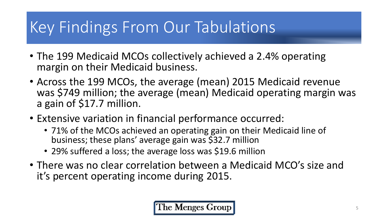## Key Findings From Our Tabulations

- The 199 Medicaid MCOs collectively achieved a 2.4% operating margin on their Medicaid business.
- Across the 199 MCOs, the average (mean) 2015 Medicaid revenue was \$749 million; the average (mean) Medicaid operating margin was a gain of \$17.7 million.
- Extensive variation in financial performance occurred:
	- 71% of the MCOs achieved an operating gain on their Medicaid line of business; these plans' average gain was \$32.7 million
	- 29% suffered a loss; the average loss was \$19.6 million
- There was no clear correlation between a Medicaid MCO's size and it's percent operating income during 2015.